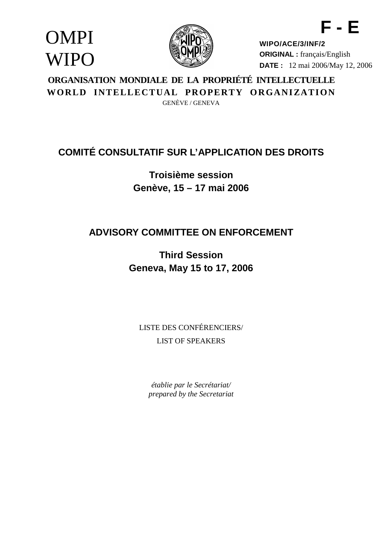OMPI **WIPO** 



**WIPO/ACE/3/INF/2 ORIGINAL :** français/English **DATE :** 12 mai 2006/May 12, 2006

**F - E**

### **ORGANISATION MONDIALE DE LA PROPRIÉTÉ INTELLECTUELLE** WORLD INTELLECTUAL PROPERTY ORGANIZATION GENÈVE / GENEVA

# **COMITÉ CONSULTATIF SUR L'APPLICATION DES DROITS**

**Troisième session Genève, 15 – 17 mai 2006**

## **ADVISORY COMMITTEE ON ENFORCEMENT**

**Third Session Geneva, May 15 to 17, 2006**

LISTE DES CONFÉRENCIERS/ LIST OF SPEAKERS

*établie par le Secrétariat/ prepared by the Secretariat*